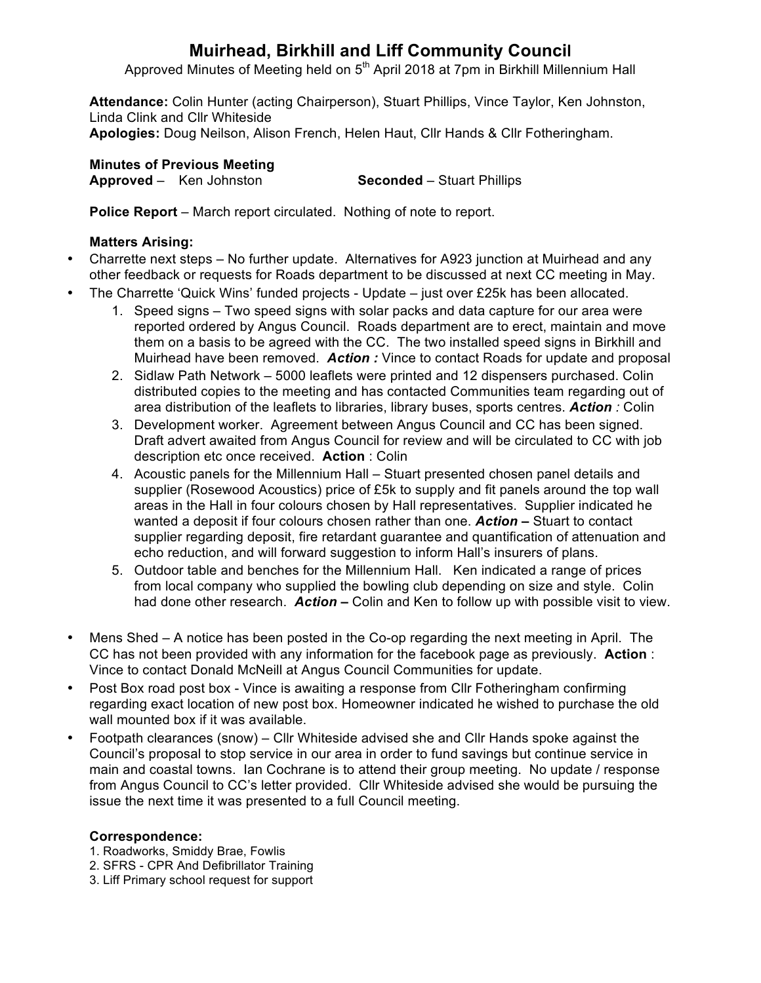# **Muirhead, Birkhill and Liff Community Council**

Approved Minutes of Meeting held on 5<sup>th</sup> April 2018 at 7pm in Birkhill Millennium Hall

**Attendance:** Colin Hunter (acting Chairperson), Stuart Phillips, Vince Taylor, Ken Johnston, Linda Clink and Cllr Whiteside **Apologies:** Doug Neilson, Alison French, Helen Haut, Cllr Hands & Cllr Fotheringham.

**Minutes of Previous Meeting Approved** – Ken Johnston **Seconded** – Stuart Phillips

**Police Report** – March report circulated. Nothing of note to report.

## **Matters Arising:**

- Charrette next steps No further update. Alternatives for A923 junction at Muirhead and any other feedback or requests for Roads department to be discussed at next CC meeting in May.
- The Charrette 'Quick Wins' funded projects Update just over £25k has been allocated.
	- 1. Speed signs Two speed signs with solar packs and data capture for our area were reported ordered by Angus Council. Roads department are to erect, maintain and move them on a basis to be agreed with the CC. The two installed speed signs in Birkhill and Muirhead have been removed. *Action :* Vince to contact Roads for update and proposal
	- 2. Sidlaw Path Network 5000 leaflets were printed and 12 dispensers purchased. Colin distributed copies to the meeting and has contacted Communities team regarding out of area distribution of the leaflets to libraries, library buses, sports centres. *Action :* Colin
	- 3. Development worker. Agreement between Angus Council and CC has been signed. Draft advert awaited from Angus Council for review and will be circulated to CC with job description etc once received. **Action** : Colin
	- 4. Acoustic panels for the Millennium Hall Stuart presented chosen panel details and supplier (Rosewood Acoustics) price of £5k to supply and fit panels around the top wall areas in the Hall in four colours chosen by Hall representatives. Supplier indicated he wanted a deposit if four colours chosen rather than one. *Action –* Stuart to contact supplier regarding deposit, fire retardant guarantee and quantification of attenuation and echo reduction, and will forward suggestion to inform Hall's insurers of plans.
	- 5. Outdoor table and benches for the Millennium Hall. Ken indicated a range of prices from local company who supplied the bowling club depending on size and style. Colin had done other research. *Action –* Colin and Ken to follow up with possible visit to view.
- Mens Shed A notice has been posted in the Co-op regarding the next meeting in April. The CC has not been provided with any information for the facebook page as previously. **Action** : Vince to contact Donald McNeill at Angus Council Communities for update.
- Post Box road post box Vince is awaiting a response from Cllr Fotheringham confirming regarding exact location of new post box. Homeowner indicated he wished to purchase the old wall mounted box if it was available.
- Footpath clearances (snow) Cllr Whiteside advised she and Cllr Hands spoke against the Council's proposal to stop service in our area in order to fund savings but continue service in main and coastal towns. Ian Cochrane is to attend their group meeting. No update / response from Angus Council to CC's letter provided. Cllr Whiteside advised she would be pursuing the issue the next time it was presented to a full Council meeting.

### **Correspondence:**

- 1. Roadworks, Smiddy Brae, Fowlis
- 2. SFRS CPR And Defibrillator Training
- 3. Liff Primary school request for support